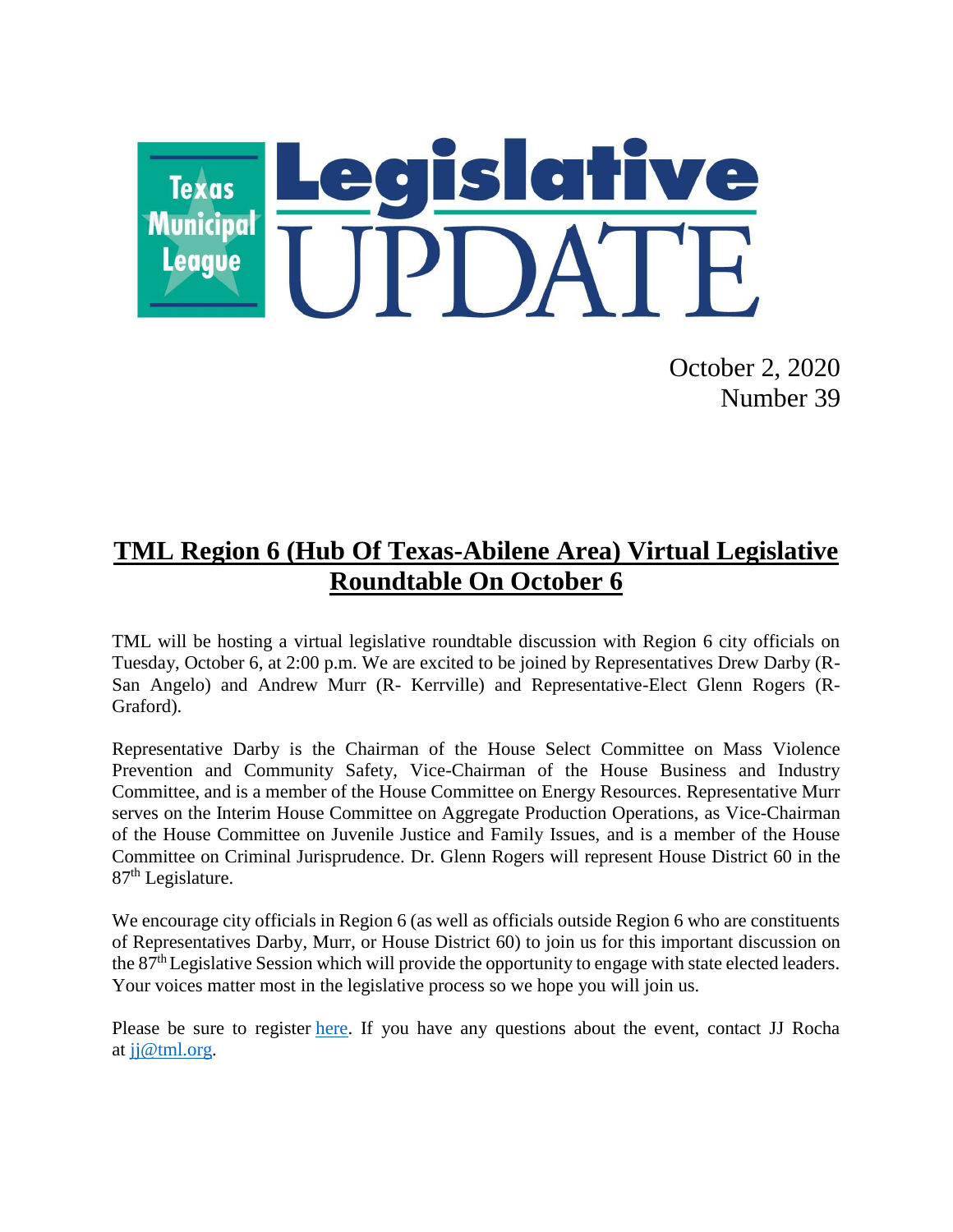

October 2, 2020 Number 39

# **TML Region 6 (Hub Of Texas-Abilene Area) Virtual Legislative Roundtable On October 6**

TML will be hosting a virtual legislative roundtable discussion with Region 6 city officials on Tuesday, October 6, at 2:00 p.m. We are excited to be joined by Representatives Drew Darby (R-San Angelo) and Andrew Murr (R- Kerrville) and Representative-Elect Glenn Rogers (R-Graford).

Representative Darby is the Chairman of the House Select Committee on Mass Violence Prevention and Community Safety, Vice-Chairman of the House Business and Industry Committee, and is a member of the House Committee on Energy Resources. Representative Murr serves on the Interim House Committee on Aggregate Production Operations, as Vice-Chairman of the House Committee on Juvenile Justice and Family Issues, and is a member of the House Committee on Criminal Jurisprudence. Dr. Glenn Rogers will represent House District 60 in the  $87<sup>th</sup>$  Legislature.

We encourage city officials in Region 6 (as well as officials outside Region 6 who are constituents of Representatives Darby, Murr, or House District 60) to join us for this important discussion on the 87<sup>th</sup> Legislative Session which will provide the opportunity to engage with state elected leaders. Your voices matter most in the legislative process so we hope you will join us.

Please be sure to register [here.](https://zoom.us/meeting/register/tJ0sf--vqjsqHNTGdWxGYtxjhbI6Swdt8D_x) If you have any questions about the event, contact JJ Rocha at  $ji@tml.org$ .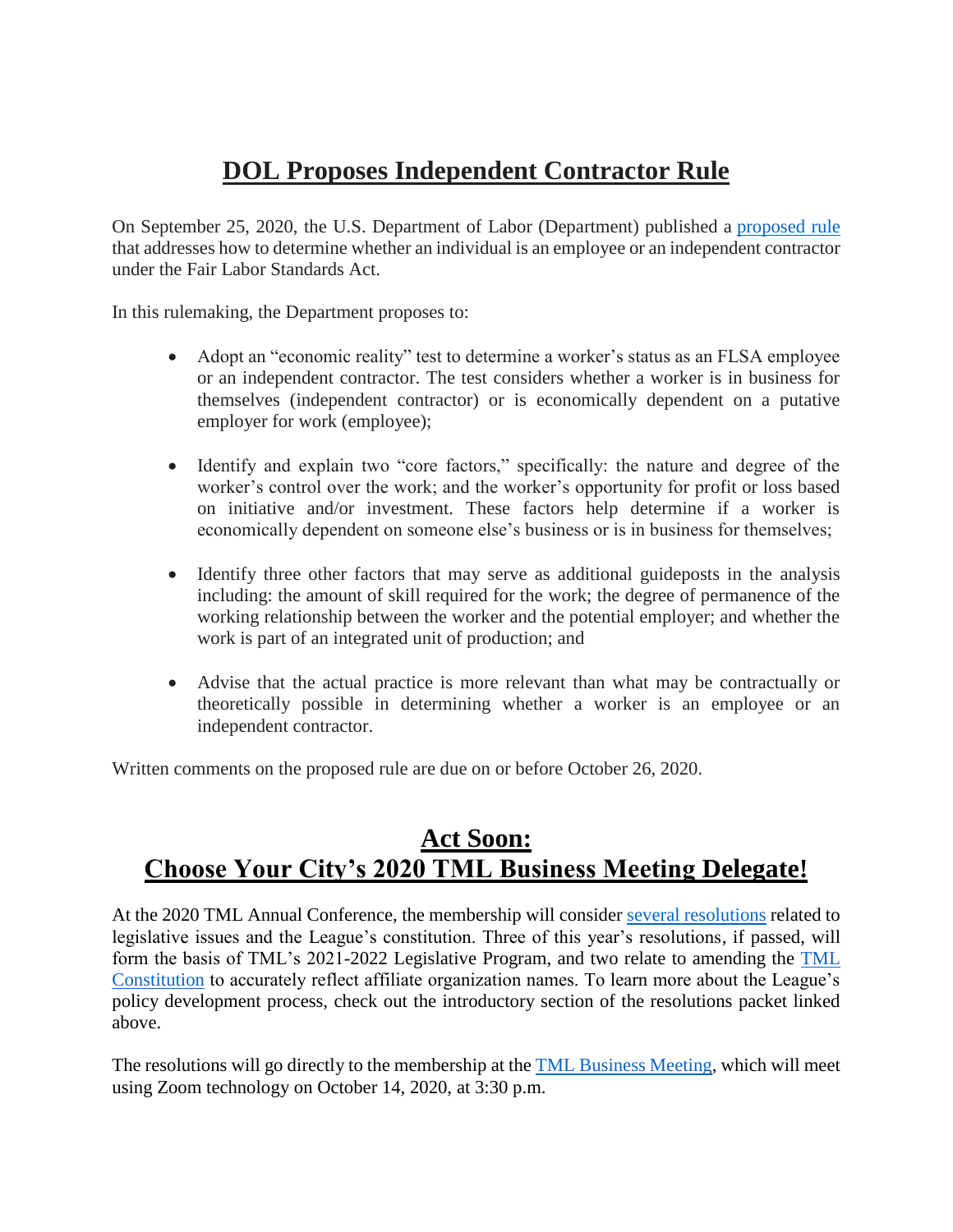# **DOL Proposes Independent Contractor Rule**

On September 25, 2020, the U.S. Department of Labor (Department) published a [proposed rule](https://www.govinfo.gov/content/pkg/FR-2020-09-25/pdf/2020-21018.pdf) that addresses how to determine whether an individual is an employee or an independent contractor under the Fair Labor Standards Act.

In this rulemaking, the Department proposes to:

- Adopt an "economic reality" test to determine a worker's status as an FLSA employee or an independent contractor. The test considers whether a worker is in business for themselves (independent contractor) or is economically dependent on a putative employer for work (employee);
- Identify and explain two "core factors," specifically: the nature and degree of the worker's control over the work; and the worker's opportunity for profit or loss based on initiative and/or investment. These factors help determine if a worker is economically dependent on someone else's business or is in business for themselves;
- Identify three other factors that may serve as additional guideposts in the analysis including: the amount of skill required for the work; the degree of permanence of the working relationship between the worker and the potential employer; and whether the work is part of an integrated unit of production; and
- Advise that the actual practice is more relevant than what may be contractually or theoretically possible in determining whether a worker is an employee or an independent contractor.

Written comments on the proposed rule are due on or before October 26, 2020.

### **Act Soon: Choose Your City's 2020 TML Business Meeting Delegate!**

At the 2020 TML Annual Conference, the membership will consider several [resolutions](https://www.tml.org/DocumentCenter/View/2151/2020-Resolutions-Submitted-to-Membership) related to legislative issues and the League's constitution. Three of this year's resolutions, if passed, will form the basis of TML's 2021-2022 Legislative Program, and two relate to amending the [TML](https://www.tml.org/257/TML-Constitution)  [Constitution](https://www.tml.org/257/TML-Constitution) to accurately reflect affiliate organization names. To learn more about the League's policy development process, check out the introductory section of the resolutions packet linked above.

The resolutions will go directly to the membership at the **TML** Business Meeting, which will meet using Zoom technology on October 14, 2020, at 3:30 p.m.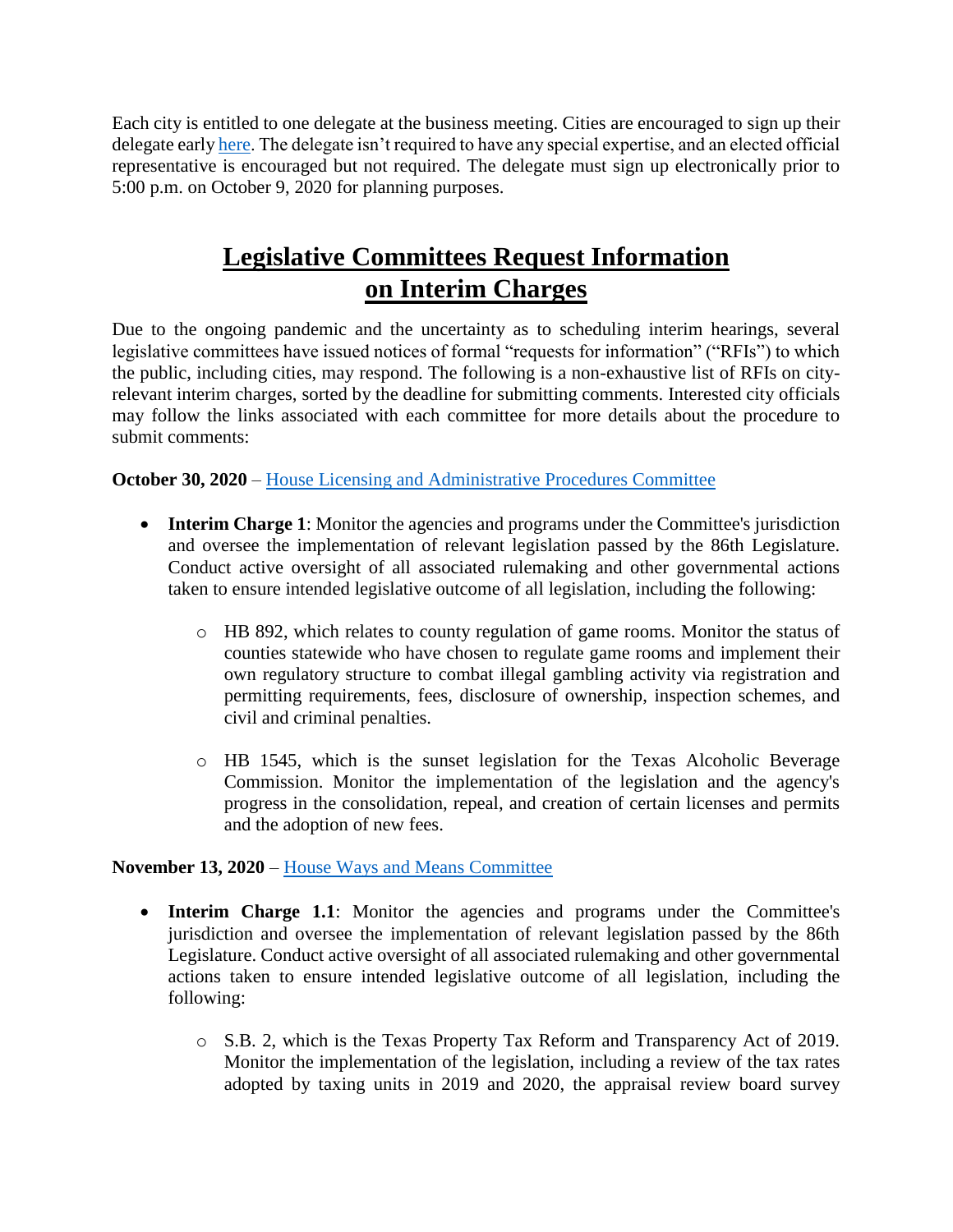Each city is entitled to one delegate at the business meeting. Cities are encouraged to sign up their delegate earl[y here.](https://www.tml.org/FormCenter/Member-Resources-5/2020-TML-Business-Meeting-67) The delegate isn't required to have any special expertise, and an elected official representative is encouraged but not required. The delegate must sign up electronically prior to 5:00 p.m. on October 9, 2020 for planning purposes.

## **Legislative Committees Request Information on Interim Charges**

Due to the ongoing pandemic and the uncertainty as to scheduling interim hearings, several legislative committees have issued notices of formal "requests for information" ("RFIs") to which the public, including cities, may respond. The following is a non-exhaustive list of RFIs on cityrelevant interim charges, sorted by the deadline for submitting comments. Interested city officials may follow the links associated with each committee for more details about the procedure to submit comments:

**October 30, 2020** – [House Licensing and Administrative Procedures Committee](https://capitol.texas.gov/tlodocs/86R/schedules/pdf/C3502020081100001.pdf)

- **Interim Charge 1**: Monitor the agencies and programs under the Committee's jurisdiction and oversee the implementation of relevant legislation passed by the 86th Legislature. Conduct active oversight of all associated rulemaking and other governmental actions taken to ensure intended legislative outcome of all legislation, including the following:
	- o HB 892, which relates to county regulation of game rooms. Monitor the status of counties statewide who have chosen to regulate game rooms and implement their own regulatory structure to combat illegal gambling activity via registration and permitting requirements, fees, disclosure of ownership, inspection schemes, and civil and criminal penalties.
	- o HB 1545, which is the sunset legislation for the Texas Alcoholic Beverage Commission. Monitor the implementation of the legislation and the agency's progress in the consolidation, repeal, and creation of certain licenses and permits and the adoption of new fees.

#### **November 13, 2020** – [House Ways and Means Committee](https://capitol.texas.gov/tlodocs/86R/schedules/pdf/C4902020072900002.pdf)

- **Interim Charge 1.1**: Monitor the agencies and programs under the Committee's jurisdiction and oversee the implementation of relevant legislation passed by the 86th Legislature. Conduct active oversight of all associated rulemaking and other governmental actions taken to ensure intended legislative outcome of all legislation, including the following:
	- o S.B. 2, which is the Texas Property Tax Reform and Transparency Act of 2019. Monitor the implementation of the legislation, including a review of the tax rates adopted by taxing units in 2019 and 2020, the appraisal review board survey